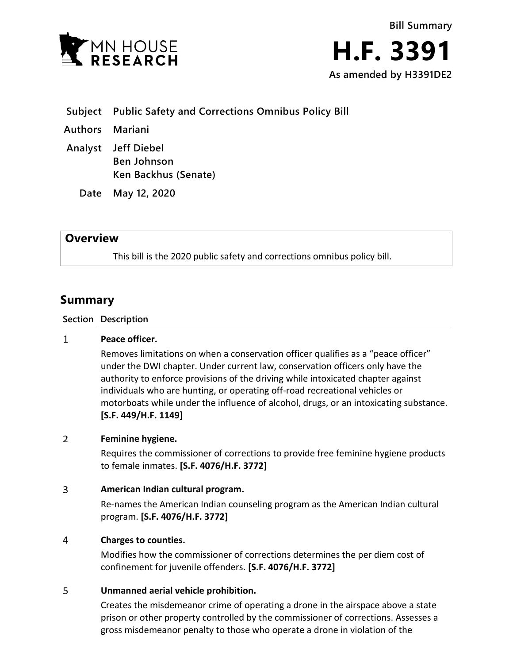



- **Subject Public Safety and Corrections Omnibus Policy Bill**
- **Authors Mariani**
- **Analyst Jeff Diebel Ben Johnson Ken Backhus (Senate)**
	- **Date May 12, 2020**

## **Overview**

This bill is the 2020 public safety and corrections omnibus policy bill.

# **Summary**

### **Section Description**

#### $\mathbf{1}$ **Peace officer.**

Removes limitations on when a conservation officer qualifies as a "peace officer" under the DWI chapter. Under current law, conservation officers only have the authority to enforce provisions of the driving while intoxicated chapter against individuals who are hunting, or operating off-road recreational vehicles or motorboats while under the influence of alcohol, drugs, or an intoxicating substance. **[S.F. 449/H.F. 1149]**

#### $\overline{2}$ **Feminine hygiene.**

Requires the commissioner of corrections to provide free feminine hygiene products to female inmates. **[S.F. 4076/H.F. 3772]**

#### $\overline{3}$ **American Indian cultural program.**

Re-names the American Indian counseling program as the American Indian cultural program. **[S.F. 4076/H.F. 3772]**

#### $\overline{4}$ **Charges to counties.**

Modifies how the commissioner of corrections determines the per diem cost of confinement for juvenile offenders. **[S.F. 4076/H.F. 3772]**

#### 5 **Unmanned aerial vehicle prohibition.**

Creates the misdemeanor crime of operating a drone in the airspace above a state prison or other property controlled by the commissioner of corrections. Assesses a gross misdemeanor penalty to those who operate a drone in violation of the